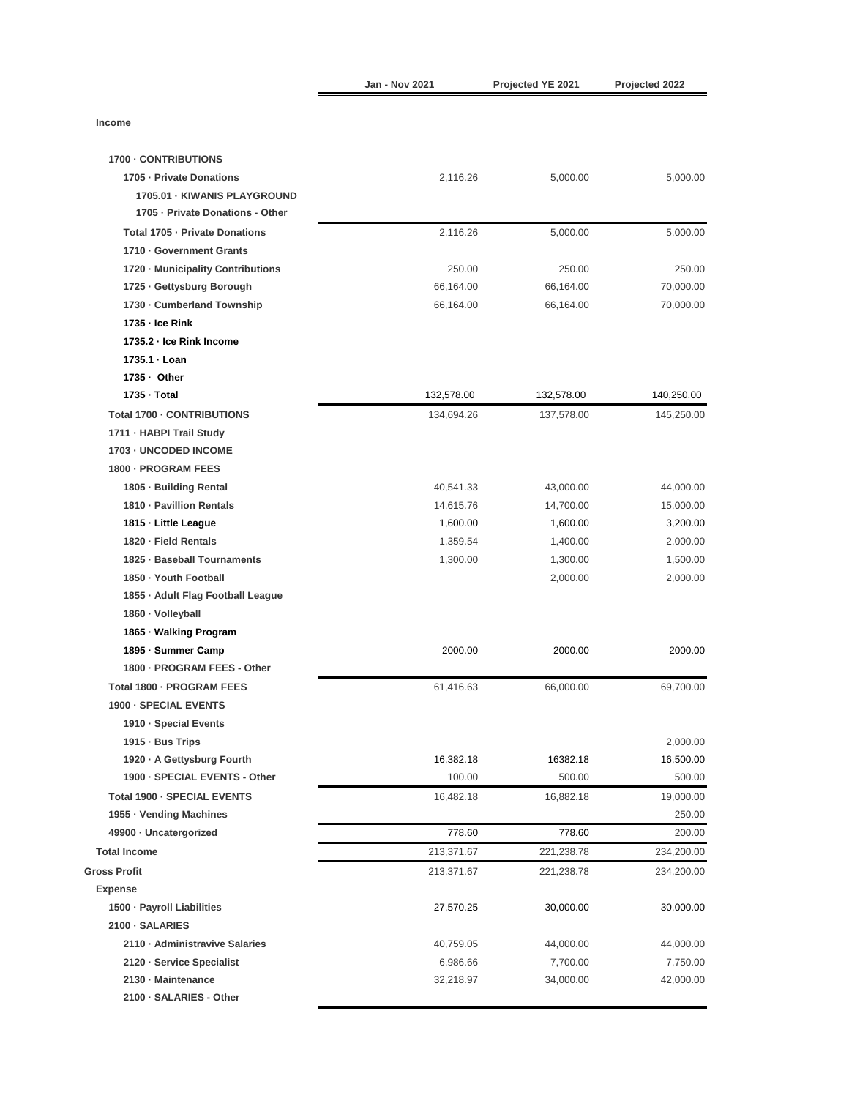|                                   | <b>Jan - Nov 2021</b> | Projected YE 2021 | Projected 2022 |
|-----------------------------------|-----------------------|-------------------|----------------|
| Income                            |                       |                   |                |
|                                   |                       |                   |                |
| 1700 - CONTRIBUTIONS              |                       |                   |                |
| 1705 - Private Donations          | 2,116.26              | 5,000.00          | 5,000.00       |
| 1705.01 - KIWANIS PLAYGROUND      |                       |                   |                |
| 1705 - Private Donations - Other  |                       |                   |                |
| Total 1705 - Private Donations    | 2.116.26              | 5,000.00          | 5,000.00       |
| 1710 Government Grants            |                       |                   |                |
| 1720 - Municipality Contributions | 250.00                | 250.00            | 250.00         |
| 1725 - Gettysburg Borough         | 66,164.00             | 66,164.00         | 70,000.00      |
| 1730 - Cumberland Township        | 66,164.00             | 66,164.00         | 70,000.00      |
| 1735 - Ice Rink                   |                       |                   |                |
| 1735.2 - Ice Rink Income          |                       |                   |                |
| 1735.1 · Loan                     |                       |                   |                |
| 1735 · Other                      |                       |                   |                |
| 1735 - Total                      | 132.578.00            | 132,578.00        | 140,250.00     |
| Total 1700 - CONTRIBUTIONS        | 134,694.26            | 137,578.00        | 145,250.00     |
| 1711 - HABPI Trail Study          |                       |                   |                |
| 1703 - UNCODED INCOME             |                       |                   |                |
| 1800 - PROGRAM FEES               |                       |                   |                |
| 1805 - Building Rental            | 40,541.33             | 43,000.00         | 44,000.00      |
| 1810 - Pavillion Rentals          | 14,615.76             | 14,700.00         | 15,000.00      |
| 1815 - Little League              | 1,600.00              | 1,600.00          | 3,200.00       |
| 1820 - Field Rentals              | 1,359.54              | 1,400.00          | 2,000.00       |
| 1825 · Baseball Tournaments       | 1,300.00              | 1,300.00          | 1,500.00       |
| 1850 - Youth Football             |                       | 2,000.00          | 2,000.00       |
| 1855 · Adult Flag Football League |                       |                   |                |
| 1860 · Volleyball                 |                       |                   |                |
| 1865 - Walking Program            |                       |                   |                |
| 1895 - Summer Camp                | 2000.00               | 2000.00           | 2000.00        |
| 1800 - PROGRAM FEES - Other       |                       |                   |                |
| Total 1800 - PROGRAM FEES         | 61,416.63             | 66,000.00         | 69,700.00      |
| 1900 · SPECIAL EVENTS             |                       |                   |                |
| 1910 · Special Events             |                       |                   |                |
| 1915 - Bus Trips                  |                       |                   | 2,000.00       |
| 1920 · A Gettysburg Fourth        | 16,382.18             | 16382.18          | 16,500.00      |
| 1900 - SPECIAL EVENTS - Other     | 100.00                | 500.00            | 500.00         |
| Total 1900 - SPECIAL EVENTS       | 16,482.18             | 16,882.18         | 19,000.00      |
| 1955 · Vending Machines           |                       |                   | 250.00         |
| 49900 · Uncatergorized            | 778.60                | 778.60            | 200.00         |
| <b>Total Income</b>               | 213,371.67            | 221,238.78        | 234,200.00     |
| <b>Gross Profit</b>               | 213,371.67            | 221,238.78        | 234,200.00     |
| <b>Expense</b>                    |                       |                   |                |
| 1500 · Payroll Liabilities        | 27,570.25             | 30,000.00         | 30,000.00      |
| 2100 · SALARIES                   |                       |                   |                |
| 2110 · Administravive Salaries    | 40,759.05             | 44,000.00         | 44,000.00      |
| 2120 · Service Specialist         | 6,986.66              | 7,700.00          | 7,750.00       |
| 2130 - Maintenance                | 32,218.97             | 34,000.00         | 42,000.00      |
| 2100 · SALARIES - Other           |                       |                   |                |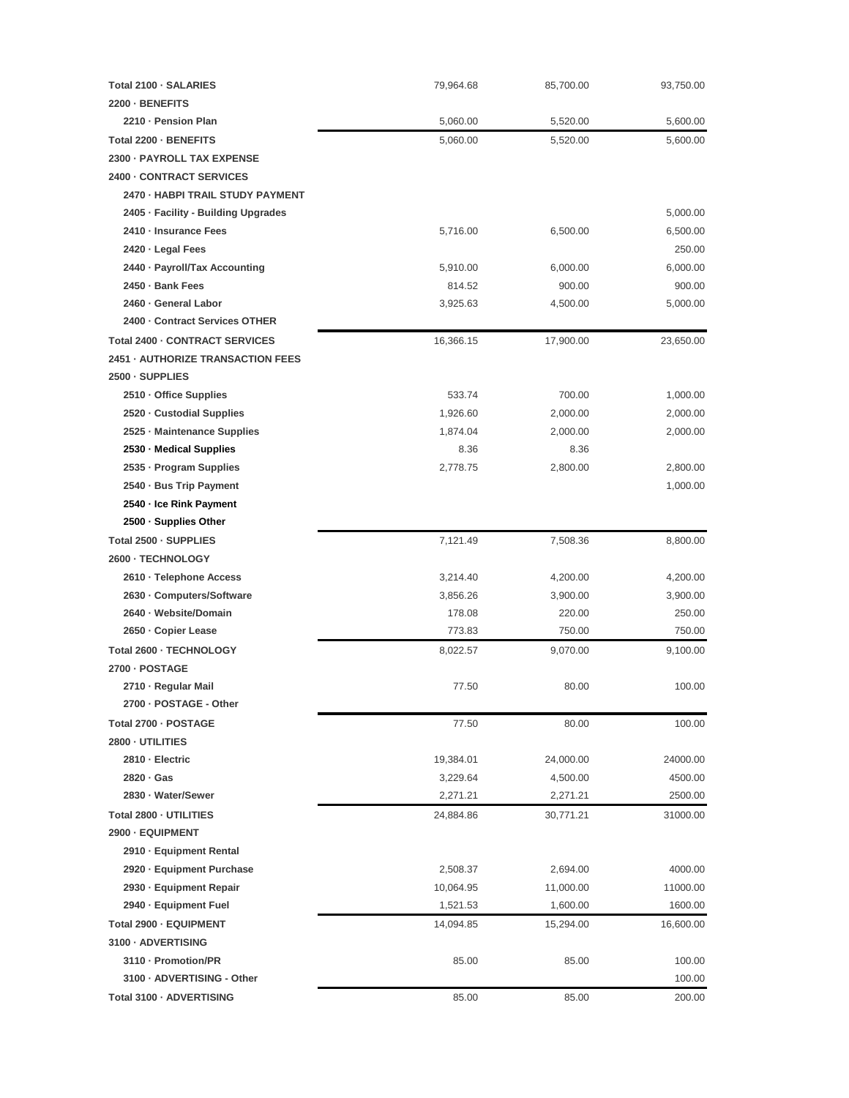| Total 2100 - SALARIES               | 79,964.68 | 85,700.00 | 93,750.00 |
|-------------------------------------|-----------|-----------|-----------|
| 2200 - BENEFITS                     |           |           |           |
| 2210 - Pension Plan                 | 5,060.00  | 5,520.00  | 5,600.00  |
| Total 2200 - BENEFITS               | 5,060.00  | 5,520.00  | 5,600.00  |
| 2300 - PAYROLL TAX EXPENSE          |           |           |           |
| 2400 - CONTRACT SERVICES            |           |           |           |
| 2470 - HABPI TRAIL STUDY PAYMENT    |           |           |           |
| 2405 · Facility - Building Upgrades |           |           | 5,000.00  |
| 2410 - Insurance Fees               | 5,716.00  | 6,500.00  | 6,500.00  |
| 2420 · Legal Fees                   |           |           | 250.00    |
| 2440 · Payroll/Tax Accounting       | 5,910.00  | 6,000.00  | 6,000.00  |
| 2450 · Bank Fees                    | 814.52    | 900.00    | 900.00    |
| 2460 · General Labor                | 3,925.63  | 4,500.00  | 5,000.00  |
| 2400 - Contract Services OTHER      |           |           |           |
| Total 2400 - CONTRACT SERVICES      | 16,366.15 | 17,900.00 | 23,650.00 |
| 2451 - AUTHORIZE TRANSACTION FEES   |           |           |           |
| 2500 - SUPPLIES                     |           |           |           |
| 2510 · Office Supplies              | 533.74    | 700.00    | 1,000.00  |
| 2520 · Custodial Supplies           | 1,926.60  | 2,000.00  | 2,000.00  |
| 2525 - Maintenance Supplies         | 1,874.04  | 2,000.00  | 2,000.00  |
| 2530 · Medical Supplies             | 8.36      | 8.36      |           |
| 2535 · Program Supplies             | 2,778.75  | 2,800.00  | 2,800.00  |
| 2540 · Bus Trip Payment             |           |           | 1,000.00  |
| 2540 · Ice Rink Payment             |           |           |           |
| 2500 - Supplies Other               |           |           |           |
| Total 2500 - SUPPLIES               | 7,121.49  | 7,508.36  | 8,800.00  |
| 2600 · TECHNOLOGY                   |           |           |           |
| 2610 · Telephone Access             | 3,214.40  | 4,200.00  | 4,200.00  |
| 2630 · Computers/Software           | 3,856.26  | 3,900.00  | 3,900.00  |
| 2640 · Website/Domain               | 178.08    | 220.00    | 250.00    |
| 2650 · Copier Lease                 | 773.83    | 750.00    | 750.00    |
| Total 2600 - TECHNOLOGY             | 8,022.57  | 9,070.00  | 9,100.00  |
| 2700 - POSTAGE                      |           |           |           |
| 2710 · Regular Mail                 | 77.50     | 80.00     | 100.00    |
| 2700 - POSTAGE - Other              |           |           |           |
| Total 2700 - POSTAGE                | 77.50     | 80.00     | 100.00    |
| 2800 - UTILITIES                    |           |           |           |
| 2810 - Electric                     | 19,384.01 | 24,000.00 | 24000.00  |
| 2820 · Gas                          | 3,229.64  | 4,500.00  | 4500.00   |
| 2830 · Water/Sewer                  | 2,271.21  | 2,271.21  | 2500.00   |
| Total 2800 - UTILITIES              | 24,884.86 | 30,771.21 | 31000.00  |
| 2900 - EQUIPMENT                    |           |           |           |
| 2910 · Equipment Rental             |           |           |           |
| 2920 · Equipment Purchase           | 2,508.37  | 2,694.00  | 4000.00   |
| 2930 · Equipment Repair             | 10,064.95 | 11,000.00 | 11000.00  |
| 2940 · Equipment Fuel               | 1,521.53  | 1,600.00  | 1600.00   |
| Total 2900 - EQUIPMENT              | 14,094.85 | 15,294.00 | 16,600.00 |
| 3100 - ADVERTISING                  |           |           |           |
| 3110 - Promotion/PR                 | 85.00     | 85.00     | 100.00    |
| 3100 · ADVERTISING - Other          |           |           | 100.00    |
| Total 3100 · ADVERTISING            | 85.00     | 85.00     | 200.00    |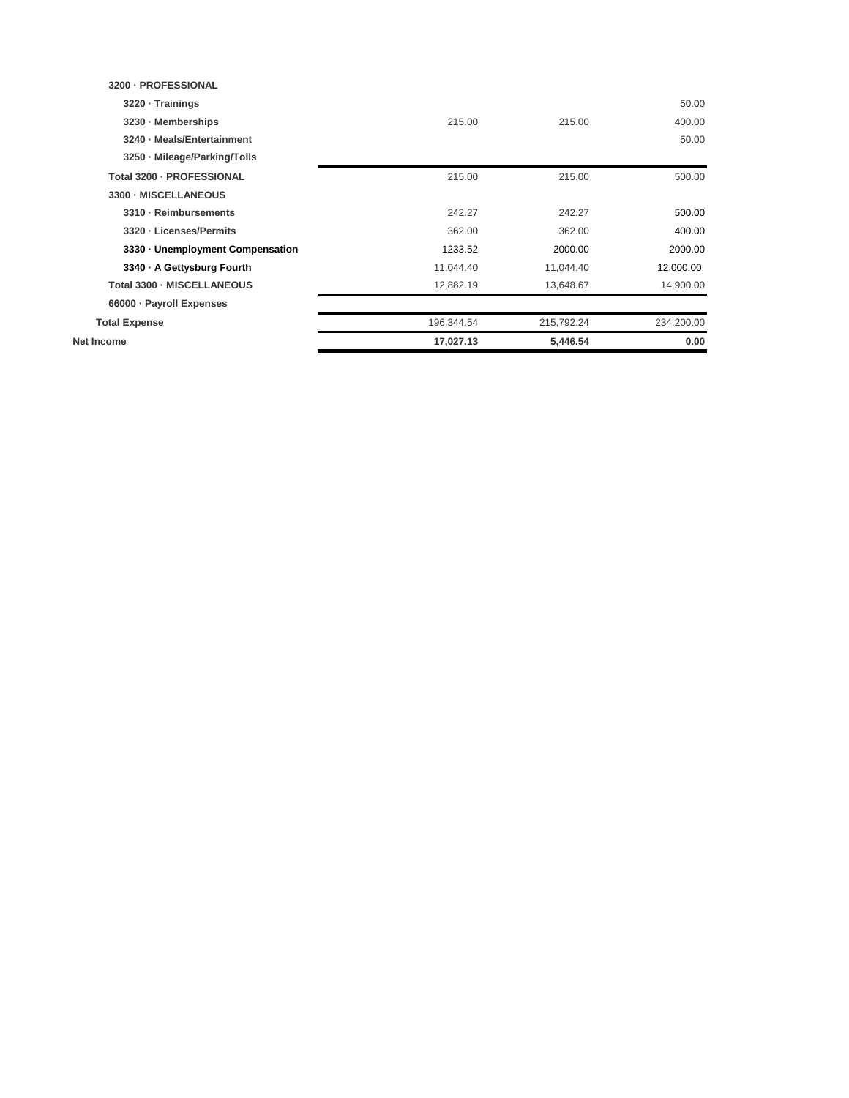| Net Income                       | 17,027.13  | 5,446.54   | 0.00       |
|----------------------------------|------------|------------|------------|
| <b>Total Expense</b>             | 196,344.54 | 215,792.24 | 234,200.00 |
| 66000 · Payroll Expenses         |            |            |            |
| Total 3300 - MISCELLANEOUS       | 12,882.19  | 13,648.67  | 14,900.00  |
| 3340 - A Gettysburg Fourth       | 11,044.40  | 11,044.40  | 12,000.00  |
| 3330 · Unemployment Compensation | 1233.52    | 2000.00    | 2000.00    |
| 3320 - Licenses/Permits          | 362.00     | 362.00     | 400.00     |
| 3310 · Reimbursements            | 242.27     | 242.27     | 500.00     |
| 3300 - MISCELLANEOUS             |            |            |            |
| Total 3200 - PROFESSIONAL        | 215.00     | 215.00     | 500.00     |
| 3250 · Mileage/Parking/Tolls     |            |            |            |
| 3240 - Meals/Entertainment       |            |            | 50.00      |
| 3230 · Memberships               | 215.00     | 215.00     | 400.00     |
| 3220 · Trainings                 |            |            | 50.00      |
| 3200 - PROFESSIONAL              |            |            |            |